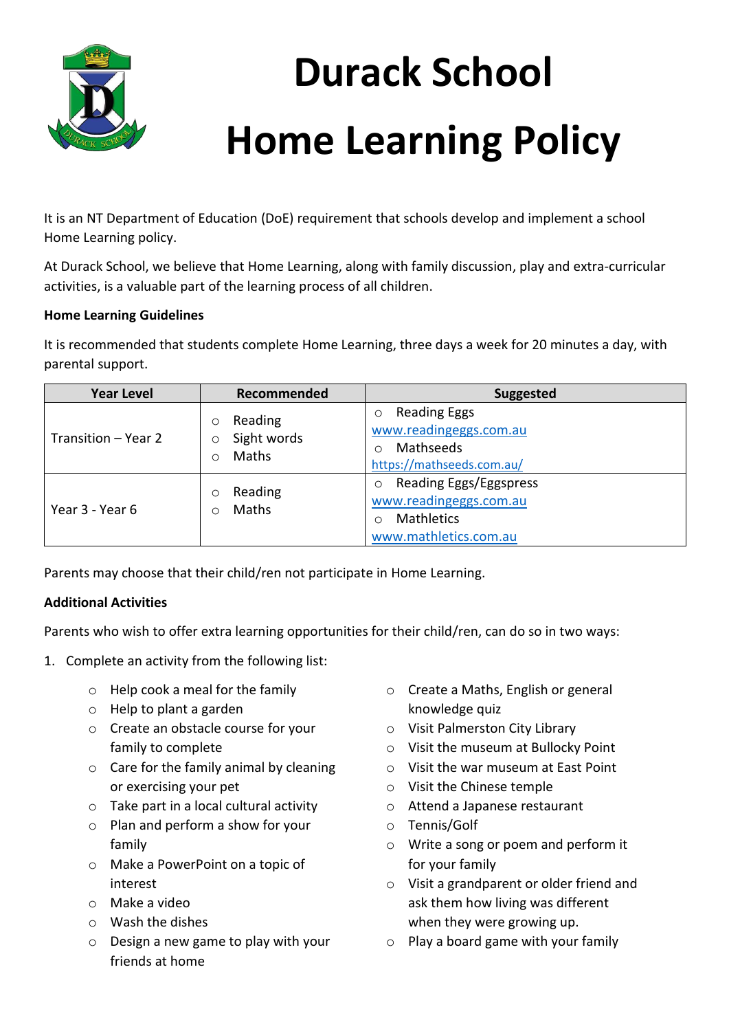

## **Durack School Home Learning Policy**

It is an NT Department of Education (DoE) requirement that schools develop and implement a school Home Learning policy.

At Durack School, we believe that Home Learning, along with family discussion, play and extra-curricular activities, is a valuable part of the learning process of all children.

## **Home Learning Guidelines**

It is recommended that students complete Home Learning, three days a week for 20 minutes a day, with parental support.

| <b>Year Level</b>   | Recommended                                    | <b>Suggested</b>                                                                                          |
|---------------------|------------------------------------------------|-----------------------------------------------------------------------------------------------------------|
| Transition – Year 2 | Reading<br>O<br>Sight words<br>O<br>Maths<br>∩ | <b>Reading Eggs</b><br>$\circ$<br>www.readingeggs.com.au<br>Mathseeds<br>https://mathseeds.com.au/        |
| Year 3 - Year 6     | Reading<br>O<br>Maths<br>∩                     | Reading Eggs/Eggspress<br>$\circ$<br>www.readingeggs.com.au<br><b>Mathletics</b><br>www.mathletics.com.au |

Parents may choose that their child/ren not participate in Home Learning.

## **Additional Activities**

Parents who wish to offer extra learning opportunities for their child/ren, can do so in two ways:

- 1. Complete an activity from the following list:
	- o Help cook a meal for the family
	- o Help to plant a garden
	- o Create an obstacle course for your family to complete
	- o Care for the family animal by cleaning or exercising your pet
	- o Take part in a local cultural activity
	- o Plan and perform a show for your family
	- o Make a PowerPoint on a topic of interest
	- o Make a video
	- o Wash the dishes
	- o Design a new game to play with your friends at home
- o Create a Maths, English or general knowledge quiz
- o Visit Palmerston City Library
- o Visit the museum at Bullocky Point
- o Visit the war museum at East Point
- o Visit the Chinese temple
- o Attend a Japanese restaurant
- o Tennis/Golf
- o Write a song or poem and perform it for your family
- o Visit a grandparent or older friend and ask them how living was different when they were growing up.
- $\circ$  Play a board game with your family